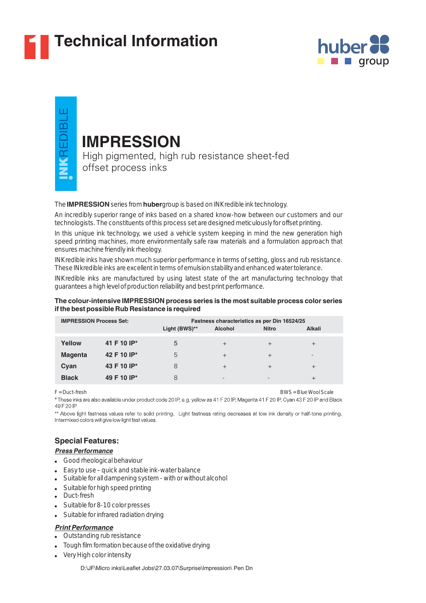

# **1 Technical Information**



ш VKREDIBL

# **IMPRESSION**

High pigmented, high rub resistance sheet-fed offset process inks

# The **IMPRESSION** series from **huber** group is based on INKredible ink technology.

An incredibly superior range of inks based on a shared know-how between our customers and our technologists. The constituents of this process set are designed meticulously for offset printing.

In this unique ink technology, we used a vehicle system keeping in mind the new generation high speed printing machines, more environmentally safe raw materials and a formulation approach that ensures machine friendly ink rheology.

INKredible inks have shown much superior performance in terms of setting, gloss and rub resistance. These INkredible inks are excellent in terms of emulsion stability and enhanced water tolerance.

INKredible inks are manufactured by using latest state of the art manufacturing technology that guarantees a high level of production reliability and best print performance.

# **The colour-intensive IMPRESSION process series is the most suitable process color series if the best possible Rub Resistance is required**

| <b>IMPRESSION Process Set:</b> |             | Fastness characteristics as per Din 16524/25<br>Light (BWS)**<br><b>Alcohol</b><br><b>Alkali</b><br><b>Nitro</b> |                          |                          |        |
|--------------------------------|-------------|------------------------------------------------------------------------------------------------------------------|--------------------------|--------------------------|--------|
|                                |             |                                                                                                                  |                          |                          |        |
| Yellow                         | 41 F 10 IP* | 5                                                                                                                | $^{+}$                   | $^{+}$                   | $^{+}$ |
| <b>Magenta</b>                 | 42 F 10 IP* | 5                                                                                                                | $^{+}$                   | $^{+}$                   |        |
| Cyan                           | 43 F 10 IP* | 8                                                                                                                | $^{+}$                   | $^{+}$                   | $^{+}$ |
| <b>Black</b>                   | 49 F 10 IP* | 8                                                                                                                | $\overline{\phantom{0}}$ | $\overline{\phantom{0}}$ | $^+$   |

F = Duct-fresh BWS = Blue Wool Scale

\* These inks are also available under product code 20 IP, e.g. yellow as 41 F 20 IP, Magenta 41 F 20 IP, Cyan 43 F 20 IP and Black 49 F 20 IP

\*\* Above light fastness values refer to solid printing. Light fastness rating decreases at low ink density or half-tone printing. Intermixed colors will give low light fast values.

# **Special Features:**

## *Press Performance*

- Good rheological behaviour
- Easy to use quick and stable ink-water balance ●
- Suitable for all dampening system with or without alcohol ●
- Suitable for high speed printing ●
- Duct-fresh
- Suitable for 8-10 color presses
- Suitable for infrared radiation drying

# *Print Performance*

- Outstanding rub resistance
- Tough film formation because of the oxidative drying
- Very High color intensity

D:\JF\Micro inks\Leaflet Jobs\27.03.07\Surprise\Impression\ Pen Dn